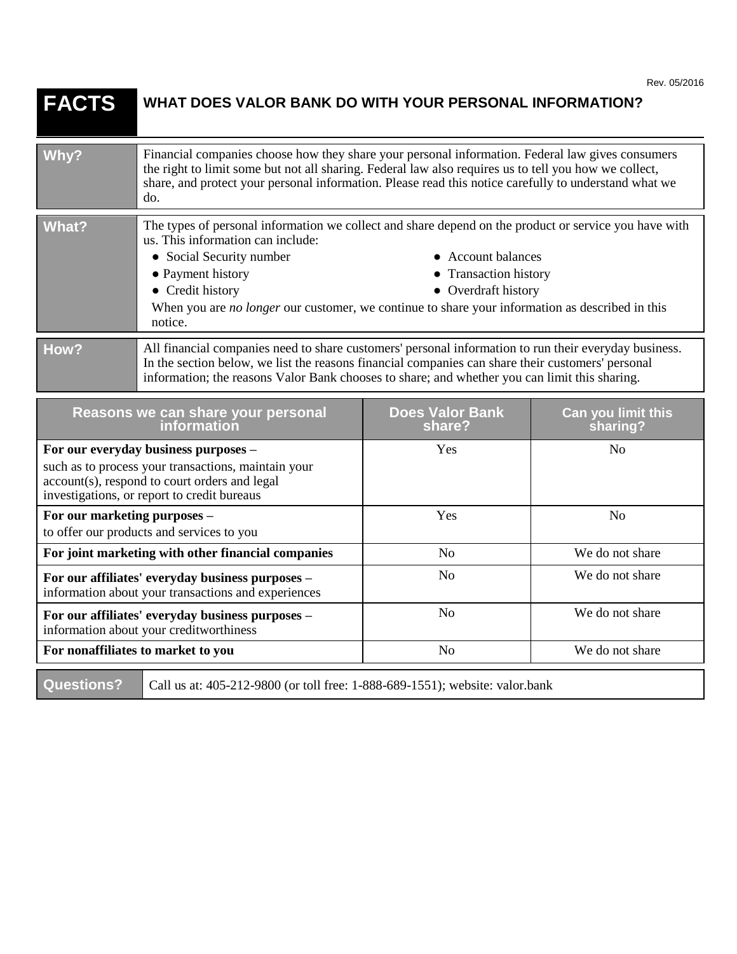| Rev. 05/2016 |
|--------------|
|--------------|

| <b>FACTS</b>                                                                                                                                                                                | WHAT DOES VALOR BANK DO WITH YOUR PERSONAL INFORMATION?                                                                                                                                                                                                                                                                                                                                             |                                  |                                |
|---------------------------------------------------------------------------------------------------------------------------------------------------------------------------------------------|-----------------------------------------------------------------------------------------------------------------------------------------------------------------------------------------------------------------------------------------------------------------------------------------------------------------------------------------------------------------------------------------------------|----------------------------------|--------------------------------|
| Why?                                                                                                                                                                                        | Financial companies choose how they share your personal information. Federal law gives consumers<br>the right to limit some but not all sharing. Federal law also requires us to tell you how we collect,<br>share, and protect your personal information. Please read this notice carefully to understand what we<br>do.                                                                           |                                  |                                |
| <b>What?</b>                                                                                                                                                                                | The types of personal information we collect and share depend on the product or service you have with<br>us. This information can include:<br>• Social Security number<br>• Account balances<br>• Payment history<br>• Transaction history<br>• Credit history<br>• Overdraft history<br>When you are no longer our customer, we continue to share your information as described in this<br>notice. |                                  |                                |
| How?                                                                                                                                                                                        | All financial companies need to share customers' personal information to run their everyday business.<br>In the section below, we list the reasons financial companies can share their customers' personal<br>information; the reasons Valor Bank chooses to share; and whether you can limit this sharing.                                                                                         |                                  |                                |
| Reasons we can share your personal<br>information                                                                                                                                           |                                                                                                                                                                                                                                                                                                                                                                                                     | <b>Does Valor Bank</b><br>share? | Can you limit this<br>sharing? |
| For our everyday business purposes -<br>such as to process your transactions, maintain your<br>account(s), respond to court orders and legal<br>investigations, or report to credit bureaus |                                                                                                                                                                                                                                                                                                                                                                                                     | Yes                              | N <sub>o</sub>                 |
| For our marketing purposes -<br>to offer our products and services to you                                                                                                                   |                                                                                                                                                                                                                                                                                                                                                                                                     | Yes                              | N <sub>o</sub>                 |
| For joint marketing with other financial companies                                                                                                                                          |                                                                                                                                                                                                                                                                                                                                                                                                     | N <sub>o</sub>                   | We do not share                |
| For our affiliates' everyday business purposes -<br>information about your transactions and experiences                                                                                     |                                                                                                                                                                                                                                                                                                                                                                                                     | N <sub>o</sub>                   | We do not share                |
| For our affiliates' everyday business purposes -<br>information about your creditworthiness                                                                                                 |                                                                                                                                                                                                                                                                                                                                                                                                     | N <sub>o</sub>                   | We do not share                |
| For nonaffiliates to market to you                                                                                                                                                          |                                                                                                                                                                                                                                                                                                                                                                                                     | No                               | We do not share                |
| <b>Questions?</b>                                                                                                                                                                           | Call us at: 405-212-9800 (or toll free: 1-888-689-1551); website: valor.bank                                                                                                                                                                                                                                                                                                                        |                                  |                                |